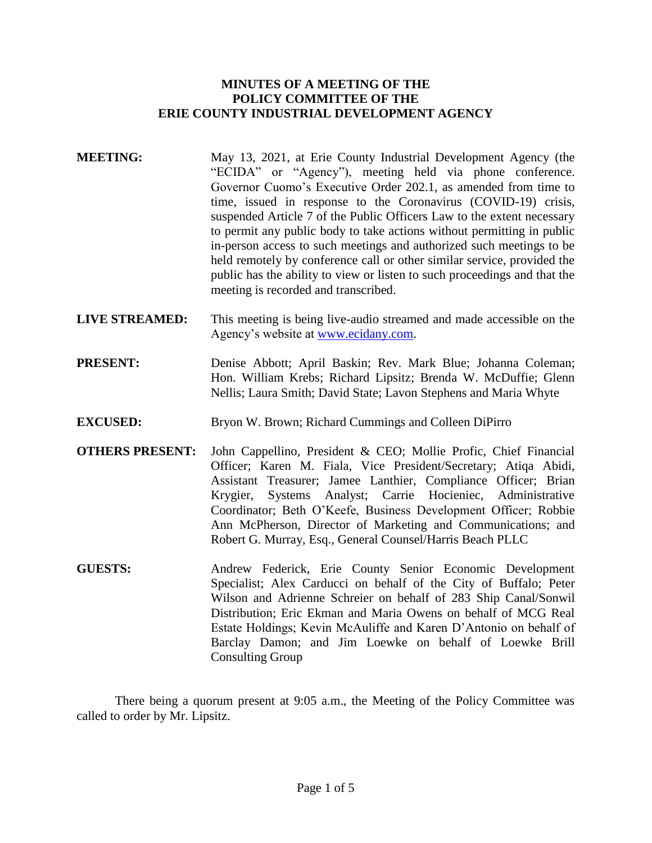## **MINUTES OF A MEETING OF THE POLICY COMMITTEE OF THE ERIE COUNTY INDUSTRIAL DEVELOPMENT AGENCY**

- **MEETING:** May 13, 2021, at Erie County Industrial Development Agency (the "ECIDA" or "Agency"), meeting held via phone conference. Governor Cuomo's Executive Order 202.1, as amended from time to time, issued in response to the Coronavirus (COVID-19) crisis, suspended Article 7 of the Public Officers Law to the extent necessary to permit any public body to take actions without permitting in public in-person access to such meetings and authorized such meetings to be held remotely by conference call or other similar service, provided the public has the ability to view or listen to such proceedings and that the meeting is recorded and transcribed.
- **LIVE STREAMED:** This meeting is being live-audio streamed and made accessible on the Agency's website at [www.ecidany.com.](http://www.ecidany.com/)
- **PRESENT:** Denise Abbott; April Baskin; Rev. Mark Blue; Johanna Coleman; Hon. William Krebs; Richard Lipsitz; Brenda W. McDuffie; Glenn Nellis; Laura Smith; David State; Lavon Stephens and Maria Whyte
- **EXCUSED:** Bryon W. Brown; Richard Cummings and Colleen DiPirro
- **OTHERS PRESENT:** John Cappellino, President & CEO; Mollie Profic, Chief Financial Officer; Karen M. Fiala, Vice President/Secretary; Atiqa Abidi, Assistant Treasurer; Jamee Lanthier, Compliance Officer; Brian Krygier, Systems Analyst; Carrie Hocieniec, Administrative Coordinator; Beth O'Keefe, Business Development Officer; Robbie Ann McPherson, Director of Marketing and Communications; and Robert G. Murray, Esq., General Counsel/Harris Beach PLLC
- **GUESTS:** Andrew Federick, Erie County Senior Economic Development Specialist; Alex Carducci on behalf of the City of Buffalo; Peter Wilson and Adrienne Schreier on behalf of 283 Ship Canal/Sonwil Distribution; Eric Ekman and Maria Owens on behalf of MCG Real Estate Holdings; Kevin McAuliffe and Karen D'Antonio on behalf of Barclay Damon; and Jim Loewke on behalf of Loewke Brill Consulting Group

There being a quorum present at 9:05 a.m., the Meeting of the Policy Committee was called to order by Mr. Lipsitz.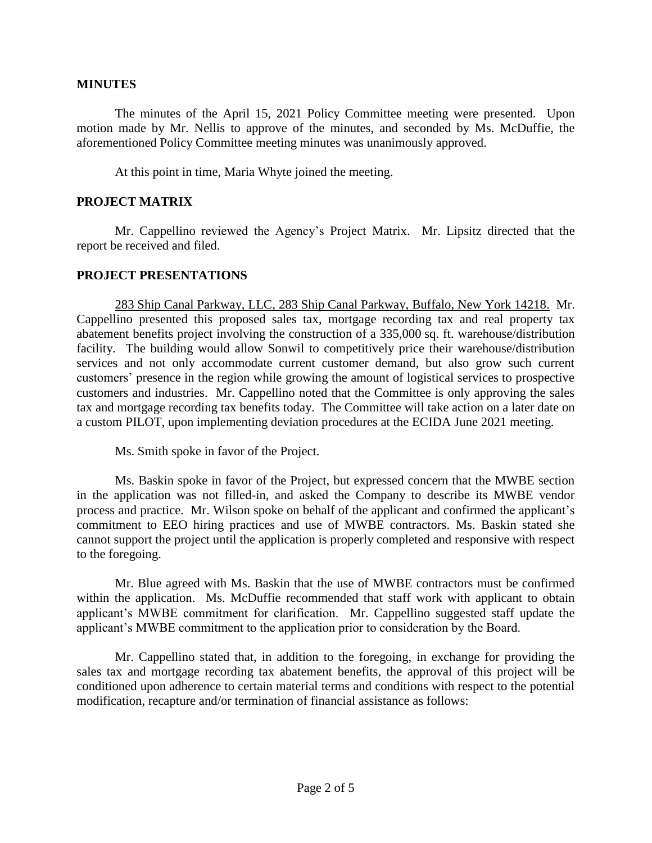#### **MINUTES**

The minutes of the April 15, 2021 Policy Committee meeting were presented. Upon motion made by Mr. Nellis to approve of the minutes, and seconded by Ms. McDuffie, the aforementioned Policy Committee meeting minutes was unanimously approved.

At this point in time, Maria Whyte joined the meeting.

### **PROJECT MATRIX**

Mr. Cappellino reviewed the Agency's Project Matrix. Mr. Lipsitz directed that the report be received and filed.

### **PROJECT PRESENTATIONS**

283 Ship Canal Parkway, LLC, 283 Ship Canal Parkway, Buffalo, New York 14218. Mr. Cappellino presented this proposed sales tax, mortgage recording tax and real property tax abatement benefits project involving the construction of a 335,000 sq. ft. warehouse/distribution facility. The building would allow Sonwil to competitively price their warehouse/distribution services and not only accommodate current customer demand, but also grow such current customers' presence in the region while growing the amount of logistical services to prospective customers and industries. Mr. Cappellino noted that the Committee is only approving the sales tax and mortgage recording tax benefits today. The Committee will take action on a later date on a custom PILOT, upon implementing deviation procedures at the ECIDA June 2021 meeting.

Ms. Smith spoke in favor of the Project.

Ms. Baskin spoke in favor of the Project, but expressed concern that the MWBE section in the application was not filled-in, and asked the Company to describe its MWBE vendor process and practice. Mr. Wilson spoke on behalf of the applicant and confirmed the applicant's commitment to EEO hiring practices and use of MWBE contractors. Ms. Baskin stated she cannot support the project until the application is properly completed and responsive with respect to the foregoing.

Mr. Blue agreed with Ms. Baskin that the use of MWBE contractors must be confirmed within the application. Ms. McDuffie recommended that staff work with applicant to obtain applicant's MWBE commitment for clarification. Mr. Cappellino suggested staff update the applicant's MWBE commitment to the application prior to consideration by the Board.

Mr. Cappellino stated that, in addition to the foregoing, in exchange for providing the sales tax and mortgage recording tax abatement benefits, the approval of this project will be conditioned upon adherence to certain material terms and conditions with respect to the potential modification, recapture and/or termination of financial assistance as follows: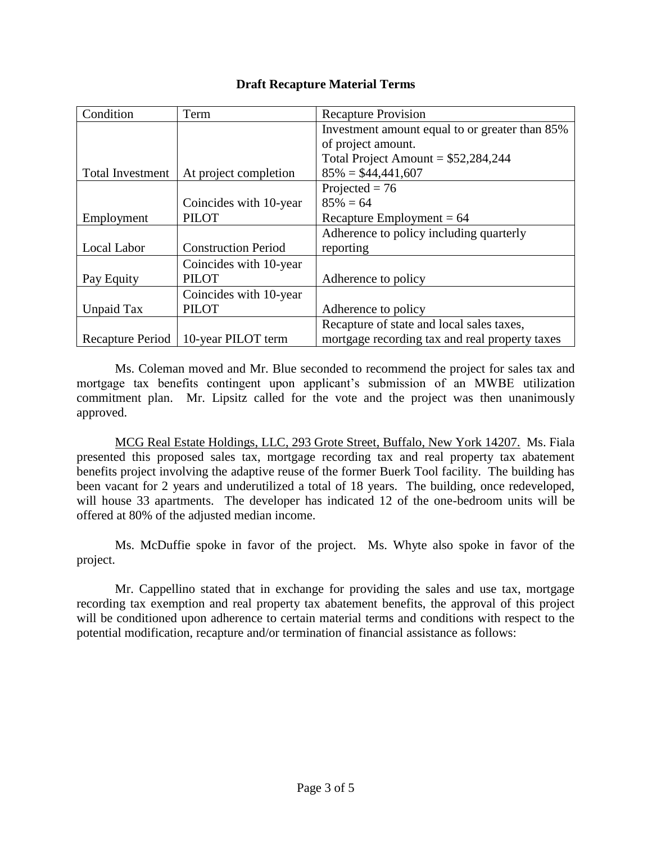# **Draft Recapture Material Terms**

| Condition               | Term                       | <b>Recapture Provision</b>                     |
|-------------------------|----------------------------|------------------------------------------------|
|                         |                            | Investment amount equal to or greater than 85% |
|                         |                            | of project amount.                             |
|                         |                            | Total Project Amount = $$52,284,244$           |
| <b>Total Investment</b> | At project completion      | $85\% = $44,441,607$                           |
|                         |                            | Projected = $76$                               |
|                         | Coincides with 10-year     | $85\% = 64$                                    |
| Employment              | <b>PILOT</b>               | Recapture Employment = $64$                    |
|                         |                            | Adherence to policy including quarterly        |
| Local Labor             | <b>Construction Period</b> | reporting                                      |
|                         | Coincides with 10-year     |                                                |
| Pay Equity              | <b>PILOT</b>               | Adherence to policy                            |
|                         | Coincides with 10-year     |                                                |
| Unpaid Tax              | <b>PILOT</b>               | Adherence to policy                            |
|                         |                            | Recapture of state and local sales taxes,      |
| Recapture Period        | 10-year PILOT term         | mortgage recording tax and real property taxes |

Ms. Coleman moved and Mr. Blue seconded to recommend the project for sales tax and mortgage tax benefits contingent upon applicant's submission of an MWBE utilization commitment plan. Mr. Lipsitz called for the vote and the project was then unanimously approved.

MCG Real Estate Holdings, LLC, 293 Grote Street, Buffalo, New York 14207. Ms. Fiala presented this proposed sales tax, mortgage recording tax and real property tax abatement benefits project involving the adaptive reuse of the former Buerk Tool facility. The building has been vacant for 2 years and underutilized a total of 18 years. The building, once redeveloped, will house 33 apartments. The developer has indicated 12 of the one-bedroom units will be offered at 80% of the adjusted median income.

Ms. McDuffie spoke in favor of the project. Ms. Whyte also spoke in favor of the project.

Mr. Cappellino stated that in exchange for providing the sales and use tax, mortgage recording tax exemption and real property tax abatement benefits, the approval of this project will be conditioned upon adherence to certain material terms and conditions with respect to the potential modification, recapture and/or termination of financial assistance as follows: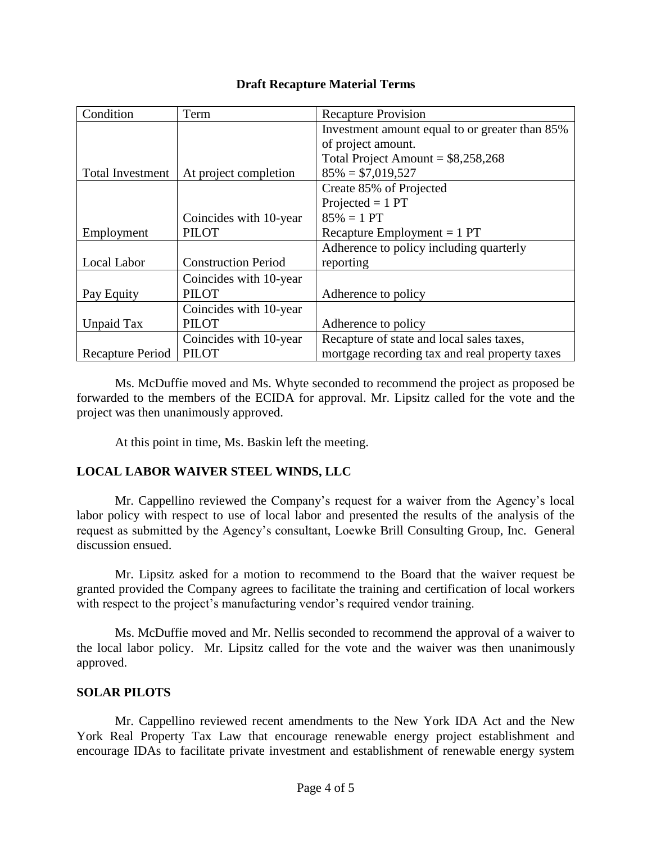# **Draft Recapture Material Terms**

| Condition               | Term                       | <b>Recapture Provision</b>                     |
|-------------------------|----------------------------|------------------------------------------------|
|                         |                            | Investment amount equal to or greater than 85% |
|                         |                            | of project amount.                             |
|                         |                            | Total Project Amount = $$8,258,268$            |
| <b>Total Investment</b> | At project completion      | $85\% = $7,019,527$                            |
|                         |                            | Create 85% of Projected                        |
|                         |                            | Projected $= 1$ PT                             |
|                         | Coincides with 10-year     | $85\% = 1 PT$                                  |
| Employment              | <b>PILOT</b>               | Recapture Employment $= 1$ PT                  |
|                         |                            | Adherence to policy including quarterly        |
| Local Labor             | <b>Construction Period</b> | reporting                                      |
|                         | Coincides with 10-year     |                                                |
| Pay Equity              | PILOT                      | Adherence to policy                            |
|                         | Coincides with 10-year     |                                                |
| Unpaid Tax              | <b>PILOT</b>               | Adherence to policy                            |
|                         | Coincides with 10-year     | Recapture of state and local sales taxes,      |
| Recapture Period        | <b>PILOT</b>               | mortgage recording tax and real property taxes |

Ms. McDuffie moved and Ms. Whyte seconded to recommend the project as proposed be forwarded to the members of the ECIDA for approval. Mr. Lipsitz called for the vote and the project was then unanimously approved.

At this point in time, Ms. Baskin left the meeting.

# **LOCAL LABOR WAIVER STEEL WINDS, LLC**

Mr. Cappellino reviewed the Company's request for a waiver from the Agency's local labor policy with respect to use of local labor and presented the results of the analysis of the request as submitted by the Agency's consultant, Loewke Brill Consulting Group, Inc. General discussion ensued.

Mr. Lipsitz asked for a motion to recommend to the Board that the waiver request be granted provided the Company agrees to facilitate the training and certification of local workers with respect to the project's manufacturing vendor's required vendor training.

Ms. McDuffie moved and Mr. Nellis seconded to recommend the approval of a waiver to the local labor policy. Mr. Lipsitz called for the vote and the waiver was then unanimously approved.

## **SOLAR PILOTS**

Mr. Cappellino reviewed recent amendments to the New York IDA Act and the New York Real Property Tax Law that encourage renewable energy project establishment and encourage IDAs to facilitate private investment and establishment of renewable energy system